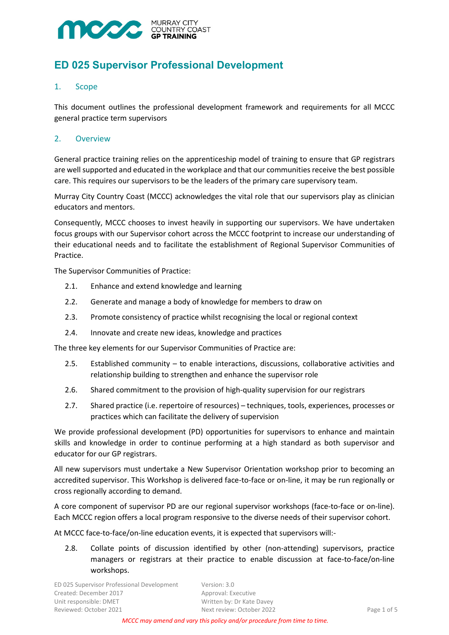

# **ED 025 Supervisor Professional Development**

# 1. Scope

This document outlines the professional development framework and requirements for all MCCC general practice term supervisors

### 2. Overview

General practice training relies on the apprenticeship model of training to ensure that GP registrars are well supported and educated in the workplace and that our communities receive the best possible care. This requires our supervisors to be the leaders of the primary care supervisory team.

Murray City Country Coast (MCCC) acknowledges the vital role that our supervisors play as clinician educators and mentors.

Consequently, MCCC chooses to invest heavily in supporting our supervisors. We have undertaken focus groups with our Supervisor cohort across the MCCC footprint to increase our understanding of their educational needs and to facilitate the establishment of Regional Supervisor Communities of Practice.

The Supervisor Communities of Practice:

- 2.1. Enhance and extend knowledge and learning
- 2.2. Generate and manage a body of knowledge for members to draw on
- 2.3. Promote consistency of practice whilst recognising the local or regional context
- 2.4. Innovate and create new ideas, knowledge and practices

The three key elements for our Supervisor Communities of Practice are:

- 2.5. Established community to enable interactions, discussions, collaborative activities and relationship building to strengthen and enhance the supervisor role
- 2.6. Shared commitment to the provision of high-quality supervision for our registrars
- 2.7. Shared practice (i.e. repertoire of resources) techniques, tools, experiences, processes or practices which can facilitate the delivery of supervision

We provide professional development (PD) opportunities for supervisors to enhance and maintain skills and knowledge in order to continue performing at a high standard as both supervisor and educator for our GP registrars.

All new supervisors must undertake a New Supervisor Orientation workshop prior to becoming an accredited supervisor. This Workshop is delivered face-to-face or on-line, it may be run regionally or cross regionally according to demand.

A core component of supervisor PD are our regional supervisor workshops (face-to-face or on-line). Each MCCC region offers a local program responsive to the diverse needs of their supervisor cohort.

At MCCC face-to-face/on-line education events, it is expected that supervisors will:-

2.8. Collate points of discussion identified by other (non-attending) supervisors, practice managers or registrars at their practice to enable discussion at face-to-face/on-line workshops.

ED 025 Supervisor Professional Development Version: 3.0 Created: December 2017 Approval: Executive Unit responsible: DMET Written by: Dr Kate Davey Reviewed: October 2021 The Section of 5 Next review: October 2022 The Section of 5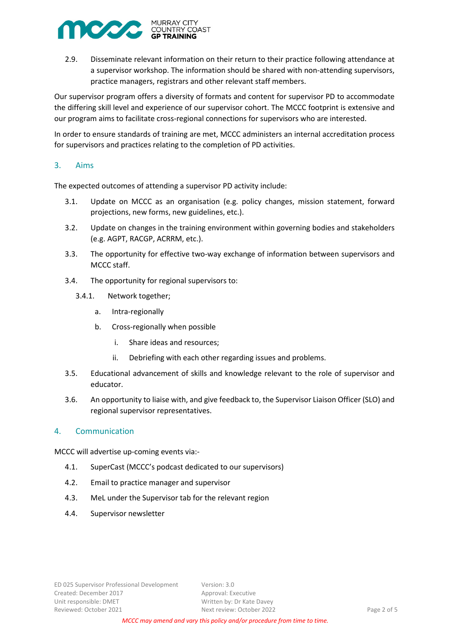

2.9. Disseminate relevant information on their return to their practice following attendance at a supervisor workshop. The information should be shared with non-attending supervisors, practice managers, registrars and other relevant staff members.

Our supervisor program offers a diversity of formats and content for supervisor PD to accommodate the differing skill level and experience of our supervisor cohort. The MCCC footprint is extensive and our program aims to facilitate cross-regional connections for supervisors who are interested.

In order to ensure standards of training are met, MCCC administers an internal accreditation process for supervisors and practices relating to the completion of PD activities.

# 3. Aims

The expected outcomes of attending a supervisor PD activity include:

- 3.1. Update on MCCC as an organisation (e.g. policy changes, mission statement, forward projections, new forms, new guidelines, etc.).
- 3.2. Update on changes in the training environment within governing bodies and stakeholders (e.g. AGPT, RACGP, ACRRM, etc.).
- 3.3. The opportunity for effective two-way exchange of information between supervisors and MCCC staff.
- 3.4. The opportunity for regional supervisors to:
	- 3.4.1. Network together;
		- a. Intra-regionally
		- b. Cross-regionally when possible
			- i. Share ideas and resources;
			- ii. Debriefing with each other regarding issues and problems.
- 3.5. Educational advancement of skills and knowledge relevant to the role of supervisor and educator.
- 3.6. An opportunity to liaise with, and give feedback to, the Supervisor Liaison Officer (SLO) and regional supervisor representatives.

# 4. Communication

MCCC will advertise up-coming events via:-

- 4.1. [SuperCast](https://soundcloud.com/user-362132115) (MCCC's podcast dedicated to our supervisors)
- 4.2. Email to practice manager and supervisor
- 4.3. MeL under the Supervisor tab for the relevant region
- 4.4. Supervisor newsletter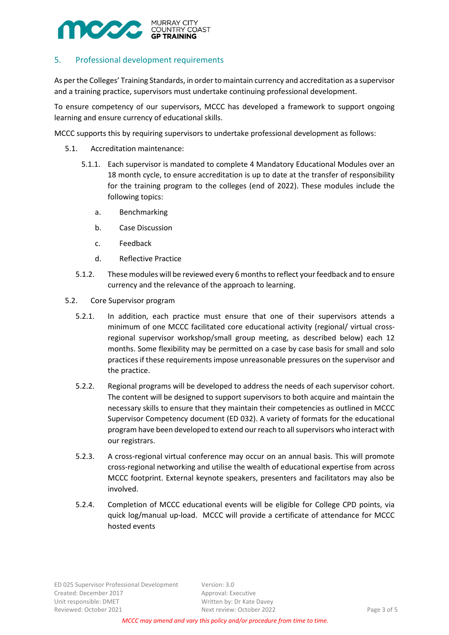

# 5. Professional development requirements

As per the Colleges' Training Standards, in order to maintain currency and accreditation as a supervisor and a training practice, supervisors must undertake continuing professional development.

To ensure competency of our supervisors, MCCC has developed a framework to support ongoing learning and ensure currency of educational skills.

MCCC supports this by requiring supervisors to undertake professional development as follows:

- 5.1. Accreditation maintenance:
	- 5.1.1. Each supervisor is mandated to complete 4 Mandatory Educational Modules over an 18 month cycle, to ensure accreditation is up to date at the transfer of responsibility for the training program to the colleges (end of 2022). These modules include the following topics:
		- a. Benchmarking
		- b. Case Discussion
		- c. Feedback
		- d. Reflective Practice
	- 5.1.2. These modules will be reviewed every 6 months to reflect your feedback and to ensure currency and the relevance of the approach to learning.
- 5.2. Core Supervisor program
	- 5.2.1. In addition, each practice must ensure that one of their supervisors attends a minimum of one MCCC facilitated core educational activity (regional/ virtual crossregional supervisor workshop/small group meeting, as described below) each 12 months. Some flexibility may be permitted on a case by case basis for small and solo practices if these requirements impose unreasonable pressures on the supervisor and the practice.
	- 5.2.2. Regional programs will be developed to address the needs of each supervisor cohort. The content will be designed to support supervisors to both acquire and maintain the necessary skills to ensure that they maintain their competencies as outlined in MCCC Supervisor Competency document (ED 032). A variety of formats for the educational program have been developed to extend our reach to all supervisors who interact with our registrars.
	- 5.2.3. A cross-regional virtual conference may occur on an annual basis. This will promote cross-regional networking and utilise the wealth of educational expertise from across MCCC footprint. External keynote speakers, presenters and facilitators may also be involved.
	- 5.2.4. Completion of MCCC educational events will be eligible for College CPD points, via quick log/manual up-load. MCCC will provide a certificate of attendance for MCCC hosted events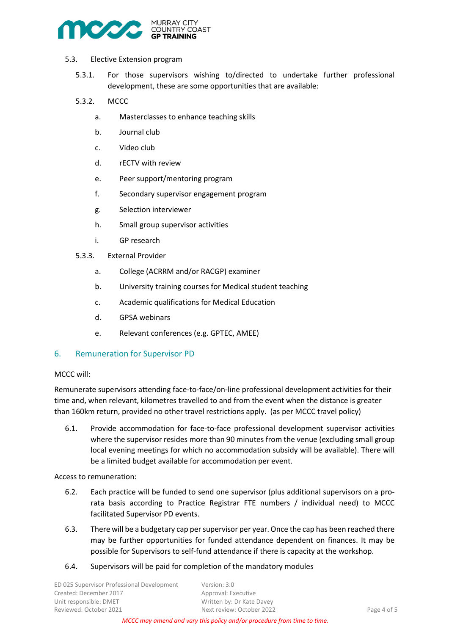

- 5.3. Elective Extension program
	- 5.3.1. For those supervisors wishing to/directed to undertake further professional development, these are some opportunities that are available:
	- 5.3.2. MCCC
		- a. Masterclasses to enhance teaching skills
		- b. Journal club
		- c. Video club
		- d. rECTV with review
		- e. Peer support/mentoring program
		- f. Secondary supervisor engagement program
		- g. Selection interviewer
		- h. Small group supervisor activities
		- i. GP research
	- 5.3.3. External Provider
		- a. College (ACRRM and/or RACGP) examiner
		- b. University training courses for Medical student teaching
		- c. Academic qualifications for Medical Education
		- d. GPSA webinars
		- e. Relevant conferences (e.g. GPTEC, AMEE)

#### 6. Remuneration for Supervisor PD

#### MCCC will:

Remunerate supervisors attending face-to-face/on-line professional development activities for their time and, when relevant, kilometres travelled to and from the event when the distance is greater than 160km return, provided no other travel restrictions apply. (as per MCCC travel policy)

6.1. Provide accommodation for face-to-face professional development supervisor activities where the supervisor resides more than 90 minutes from the venue (excluding small group local evening meetings for which no accommodation subsidy will be available). There will be a limited budget available for accommodation per event.

Access to remuneration:

- 6.2. Each practice will be funded to send one supervisor (plus additional supervisors on a prorata basis according to Practice Registrar FTE numbers / individual need) to MCCC facilitated Supervisor PD events.
- 6.3. There will be a budgetary cap per supervisor per year. Once the cap has been reached there may be further opportunities for funded attendance dependent on finances. It may be possible for Supervisors to self-fund attendance if there is capacity at the workshop.
- 6.4. Supervisors will be paid for completion of the mandatory modules

ED 025 Supervisor Professional Development Version: 3.0 Created: December 2017 Approval: Executive Unit responsible: DMET Written by: Dr Kate Davey Reviewed: October 2021 Next review: October 2022 Page 4 of 5